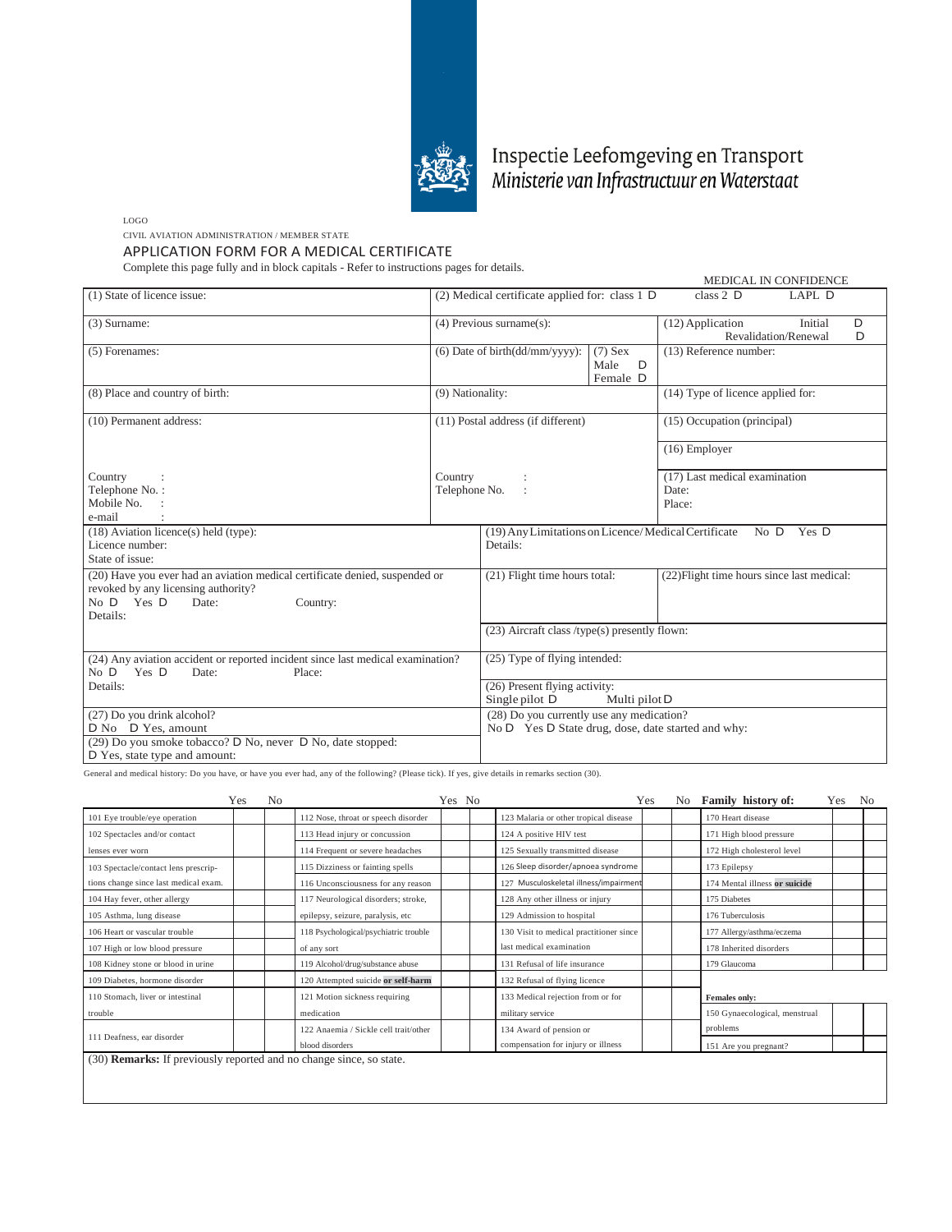

## Inspectie Leefomgeving en Transport<br>Ministerie van Infrastructuur en Waterstaat

LOGO

CIVIL AVIATION ADMINISTRATION / MEMBER STATE

APPLICATION FORM FOR A MEDICAL CERTIFICATE

Complete this page fully and in block capitals - Refer to instructions pages for details.

|                                                                                                                                                                       |                                                                                                 |                                                                            | MEDICAL IN CONFIDENCE |                                                               |  |  |  |
|-----------------------------------------------------------------------------------------------------------------------------------------------------------------------|-------------------------------------------------------------------------------------------------|----------------------------------------------------------------------------|-----------------------|---------------------------------------------------------------|--|--|--|
| (1) State of licence issue:                                                                                                                                           |                                                                                                 | $(2)$ Medical certificate applied for: class 1 D                           |                       | class $2$ D<br>LAPL D                                         |  |  |  |
| $(3)$ Surname:                                                                                                                                                        | $(4)$ Previous surname $(s)$ :                                                                  |                                                                            |                       | (12) Application<br>D<br>Initial<br>Revalidation/Renewal<br>D |  |  |  |
| (5) Forenames:                                                                                                                                                        | $(6)$ Date of birth $(dd/mm/yyyy)$ :<br>$(7)$ Sex<br>Male<br>D<br>Female D                      |                                                                            |                       | (13) Reference number:                                        |  |  |  |
| (8) Place and country of birth:                                                                                                                                       | (9) Nationality:                                                                                |                                                                            |                       | (14) Type of licence applied for:                             |  |  |  |
| (10) Permanent address:                                                                                                                                               |                                                                                                 | (11) Postal address (if different)                                         |                       | (15) Occupation (principal)                                   |  |  |  |
|                                                                                                                                                                       |                                                                                                 |                                                                            |                       | $(16)$ Employer                                               |  |  |  |
| Country<br>Telephone No.:<br>Mobile No.<br>e-mail                                                                                                                     | Country<br>Telephone No.                                                                        |                                                                            |                       | (17) Last medical examination<br>Date:<br>Place:              |  |  |  |
| $(18)$ Aviation licence(s) held (type):<br>Licence number:<br>State of issue:                                                                                         |                                                                                                 | (19) Any Limitations on Licence/Medical Certificate No D Yes D<br>Details: |                       |                                                               |  |  |  |
| (20) Have you ever had an aviation medical certificate denied, suspended or<br>revoked by any licensing authority?<br>No $D$ Yes $D$<br>Date:<br>Country:<br>Details: |                                                                                                 | (21) Flight time hours total:                                              |                       | (22) Flight time hours since last medical:                    |  |  |  |
|                                                                                                                                                                       |                                                                                                 | $(23)$ Aircraft class /type(s) presently flown:                            |                       |                                                               |  |  |  |
| (24) Any aviation accident or reported incident since last medical examination?<br>No D Yes D<br>Date:<br>Place:                                                      | (25) Type of flying intended:                                                                   |                                                                            |                       |                                                               |  |  |  |
| Details:                                                                                                                                                              |                                                                                                 | (26) Present flying activity:<br>Single pilot D<br>Multi pilot D           |                       |                                                               |  |  |  |
| (27) Do you drink alcohol?<br>D No D Yes, amount<br>(29) Do you smoke tobacco? D No, never D No, date stopped:<br>D Yes, state type and amount:                       | (28) Do you currently use any medication?<br>No D Yes D State drug, dose, date started and why: |                                                                            |                       |                                                               |  |  |  |

General and medical history: Do you have, or have you ever had, any of the following? (Please tick). If yes, give details in remarks section (30).

|                                                                            | Yes | No |                                       | Yes No |                                         | Yes | No. | <b>Family history of:</b>     | Yes. | N <sub>0</sub> |
|----------------------------------------------------------------------------|-----|----|---------------------------------------|--------|-----------------------------------------|-----|-----|-------------------------------|------|----------------|
| 101 Eye trouble/eye operation                                              |     |    | 112 Nose, throat or speech disorder   |        | 123 Malaria or other tropical disease   |     |     | 170 Heart disease             |      |                |
| 102 Spectacles and/or contact                                              |     |    | 113 Head injury or concussion         |        | 124 A positive HIV test                 |     |     | 171 High blood pressure       |      |                |
| lenses ever worn                                                           |     |    | 114 Frequent or severe headaches      |        | 125 Sexually transmitted disease        |     |     | 172 High cholesterol level    |      |                |
| 103 Spectacle/contact lens prescrip-                                       |     |    | 115 Dizziness or fainting spells      |        | 126 Sleep disorder/apnoea syndrome      |     |     | 173 Epilepsy                  |      |                |
| tions change since last medical exam.                                      |     |    | 116 Unconsciousness for any reason    |        | 127 Musculoskeletal illness/impairment  |     |     | 174 Mental illness or suicide |      |                |
| 104 Hay fever, other allergy                                               |     |    | 117 Neurological disorders; stroke,   |        | 128 Any other illness or injury         |     |     | 175 Diabetes                  |      |                |
| 105 Asthma, lung disease                                                   |     |    | epilepsy, seizure, paralysis, etc     |        | 129 Admission to hospital               |     |     | 176 Tuberculosis              |      |                |
| 106 Heart or vascular trouble                                              |     |    | 118 Psychological/psychiatric trouble |        | 130 Visit to medical practitioner since |     |     | 177 Allergy/asthma/eczema     |      |                |
| 107 High or low blood pressure                                             |     |    | of any sort                           |        | last medical examination                |     |     | 178 Inherited disorders       |      |                |
| 108 Kidney stone or blood in urine                                         |     |    | 119 Alcohol/drug/substance abuse      |        | 131 Refusal of life insurance           |     |     | 179 Glaucoma                  |      |                |
| 109 Diabetes, hormone disorder                                             |     |    | 120 Attempted suicide or self-harm    |        | 132 Refusal of flying licence           |     |     |                               |      |                |
| 110 Stomach, liver or intestinal                                           |     |    | 121 Motion sickness requiring         |        | 133 Medical rejection from or for       |     |     | Females only:                 |      |                |
| trouble                                                                    |     |    | medication                            |        | military service                        |     |     | 150 Gynaecological, menstrual |      |                |
|                                                                            |     |    | 122 Anaemia / Sickle cell trait/other |        | 134 Award of pension or                 |     |     | problems                      |      |                |
| 111 Deafness, ear disorder                                                 |     |    | blood disorders                       |        | compensation for injury or illness      |     |     | 151 Are you pregnant?         |      |                |
| (30) <b>Remarks:</b> If previously reported and no change since, so state. |     |    |                                       |        |                                         |     |     |                               |      |                |